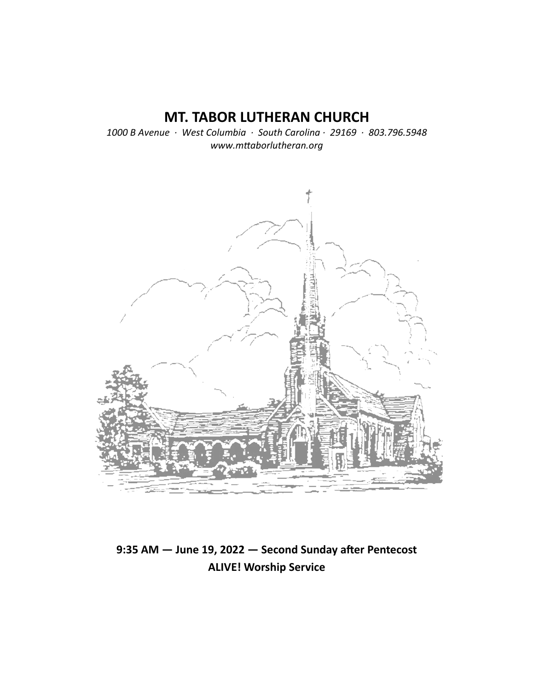# **MT. TABOR LUTHERAN CHURCH**

*1000 B Avenue · West Columbia · South Carolina · 29169 · 803.796.5948 www.mƩaborlutheran.org* 



# 9:35 AM - June 19, 2022 - Second Sunday after Pentecost **ALIVE! Worship Service**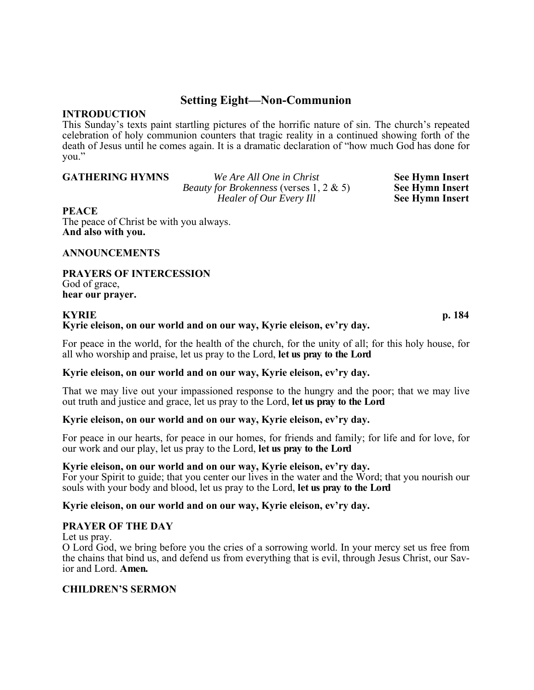## **Setting Eight—Non-Communion**

### **INTRODUCTION**

This Sunday's texts paint startling pictures of the horrific nature of sin. The church's repeated celebration of holy communion counters that tragic reality in a continued showing forth of the death of Jesus until he comes again. It is a dramatic declaration of "how much God has done for you."

**GATHERING HYMNS** *We Are All One in Christ* **See Hymn Insert** *Beauty for Brokenness* (verses 1, 2 & 5) **See Hymn Insert**  *Healer of Our Every Ill* See Hymn Insert

### **PEACE**

The peace of Christ be with you always. **And also with you.** 

### **ANNOUNCEMENTS**

**PRAYERS OF INTERCESSION**  God of grace, **hear our prayer.**

### **KYRIE p. 184 Kyrie eleison, on our world and on our way, Kyrie eleison, ev'ry day.**

For peace in the world, for the health of the church, for the unity of all; for this holy house, for all who worship and praise, let us pray to the Lord, **let us pray to the Lord**

### **Kyrie eleison, on our world and on our way, Kyrie eleison, ev'ry day.**

That we may live out your impassioned response to the hungry and the poor; that we may live out truth and justice and grace, let us pray to the Lord, **let us pray to the Lord** 

### **Kyrie eleison, on our world and on our way, Kyrie eleison, ev'ry day.**

For peace in our hearts, for peace in our homes, for friends and family; for life and for love, for our work and our play, let us pray to the Lord, **let us pray to the Lord**

### **Kyrie eleison, on our world and on our way, Kyrie eleison, ev'ry day.**

For your Spirit to guide; that you center our lives in the water and the Word; that you nourish our souls with your body and blood, let us pray to the Lord, **let us pray to the Lord**

### **Kyrie eleison, on our world and on our way, Kyrie eleison, ev'ry day.**

### **PRAYER OF THE DAY**

Let us pray.

O Lord God, we bring before you the cries of a sorrowing world. In your mercy set us free from the chains that bind us, and defend us from everything that is evil, through Jesus Christ, our Savior and Lord. **Amen.**

### **CHILDREN'S SERMON**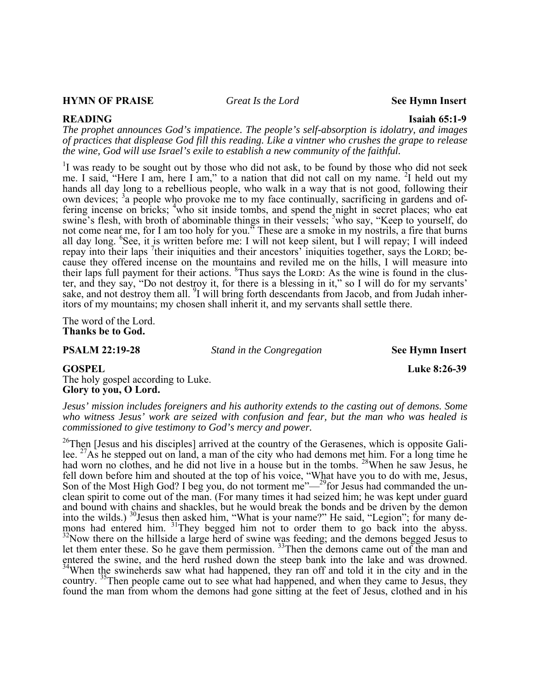### **HYMN OF PRAISE** *Great Is the Lord* **See Hymn Insert**

**READING** Isaiah 65:1-9

*The prophet announces God's impatience. The people's self-absorption is idolatry, and images of practices that displease God fill this reading. Like a vintner who crushes the grape to release the wine, God will use Israel's exile to establish a new community of the faithful.* 

<sup>1</sup>I was ready to be sought out by those who did not ask, to be found by those who did not seek me. I said, "Here I am, here I am," to a nation that did not call on my name. <sup>2</sup>I held out my hands all day long to a rebellious people, who walk in a way that is not good, following their own devices; <sup>3</sup>a people who provoke me to my face continually, sacrificing in gardens and offering incense on bricks; <sup>4</sup>who sit inside tombs, and spend the night in secret places; who eat swine's flesh, with broth of abominable things in their vessels; <sup>5</sup>who say, "Keep to yourself, do not come near me, for I am too holy for you." These are a smoke in my nostrils, a fire that burns all day long. <sup>6</sup>See, it is written before me: I will not keep silent, but I will repay; I will indeed repay into their laps <sup>7</sup>their iniquities and their ancestors' iniquities together, says the LORD; because they offered incense on the mountains and reviled me on the hills, I will measure into their laps full payment for their actions. <sup>8</sup>Thus says the LORD: As the wine is found in the cluster, and they say, "Do not destroy it, for there is a blessing in it," so I will do for my servants' sake, and not destroy them all.  $9I$  will bring forth descendants from Jacob, and from Judah inheritors of my mountains; my chosen shall inherit it, and my servants shall settle there.

The word of the Lord. **Thanks be to God.** 

**PSALM 22:19-28** *Stand in the Congregation* **See Hymn Insert** 

The holy gospel according to Luke. **Glory to you, O Lord.** 

*Jesus' mission includes foreigners and his authority extends to the casting out of demons. Some who witness Jesus' work are seized with confusion and fear, but the man who was healed is commissioned to give testimony to God's mercy and power.* 

 $^{26}$ Then [Jesus and his disciples] arrived at the country of the Gerasenes, which is opposite Galilee.  $^{27}$ As he stepped out on land, a man of the city who had demons met him. For a long time he had worn no clothes, and he did not live in a house but in the tombs. <sup>28</sup>When he saw Jesus, he fell down before him and shouted at the top of his voice, "What have you to do with me, Jesus, Son of the Most High God? I beg you, do not torment me" $-$ <sup>29</sup>for Jesus had commanded the unclean spirit to come out of the man. (For many times it had seized him; he was kept under guard and bound with chains and shackles, but he would break the bonds and be driven by the demon into the wilds.) 30Jesus then asked him, "What is your name?" He said, "Legion"; for many demons had entered him. <sup>31</sup>They begged him not to order them to go back into the abyss.<br><sup>32</sup>Now there on the hillside a large herd of swine was feeding; and the demons begged Jesus to let them enter these. So he gave them permission.  $33$ Then the demons came out of the man and entered the swine, and the herd rushed down the steep bank into the lake and was drowned. <sup>34</sup>When the swineherds saw what had happened, they ran off and told it in the city and in the country. <sup>35</sup>Then people came out to see what had happened, and when they came to Jesus, they found the man from whom the demons had gone sitting at the feet of Jesus, clothed and in his

**GOSPEL** Luke 8:26-39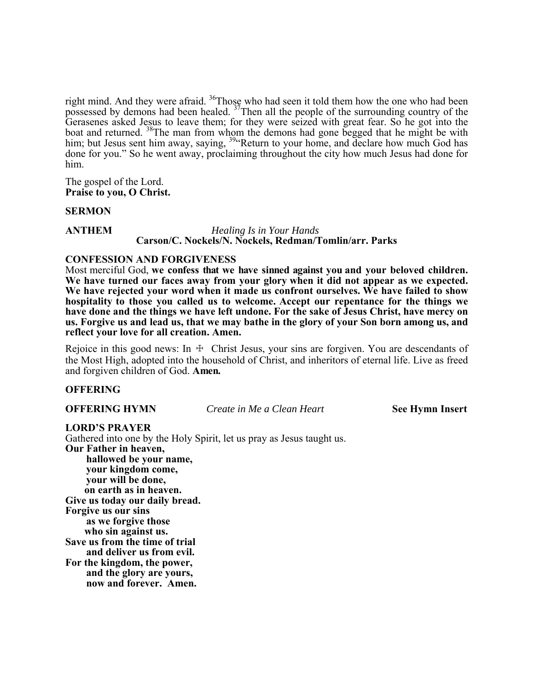right mind. And they were afraid.  $36$ Those who had seen it told them how the one who had been possessed by demons had been healed.  $37$ Then all the people of the surrounding country of the Gerasenes asked Jesus to leave them; for they were seized with great fear. So he got into the boat and returned.  $38$ The man from whom the demons had gone begged that he might be with him; but Jesus sent him away, saying, <sup>39</sup> Return to your home, and declare how much God has done for you." So he went away, proclaiming throughout the city how much Jesus had done for him.

The gospel of the Lord. **Praise to you, O Christ.** 

**SERMON** 

### **ANTHEM** *Healing Is in Your Hands*  **Carson/C. Nockels/N. Nockels, Redman/Tomlin/arr. Parks**

### **CONFESSION AND FORGIVENESS**

Most merciful God, **we confess that we have sinned against you and your beloved children. We have turned our faces away from your glory when it did not appear as we expected. We have rejected your word when it made us confront ourselves. We have failed to show hospitality to those you called us to welcome. Accept our repentance for the things we have done and the things we have left undone. For the sake of Jesus Christ, have mercy on us. Forgive us and lead us, that we may bathe in the glory of your Son born among us, and reflect your love for all creation. Amen.** 

Rejoice in this good news: In  $\pm$  Christ Jesus, your sins are forgiven. You are descendants of the Most High, adopted into the household of Christ, and inheritors of eternal life. Live as freed and forgiven children of God. **Amen.**

### **OFFERING**

**OFFERING HYMN** *Create in Me a Clean Heart* **See Hymn Insert** 

### **LORD'S PRAYER**

Gathered into one by the Holy Spirit, let us pray as Jesus taught us. **Our Father in heaven, hallowed be your name,** 

**your kingdom come, your will be done, on earth as in heaven. Give us today our daily bread. Forgive us our sins as we forgive those who sin against us. Save us from the time of trial and deliver us from evil. For the kingdom, the power, and the glory are yours, now and forever. Amen.**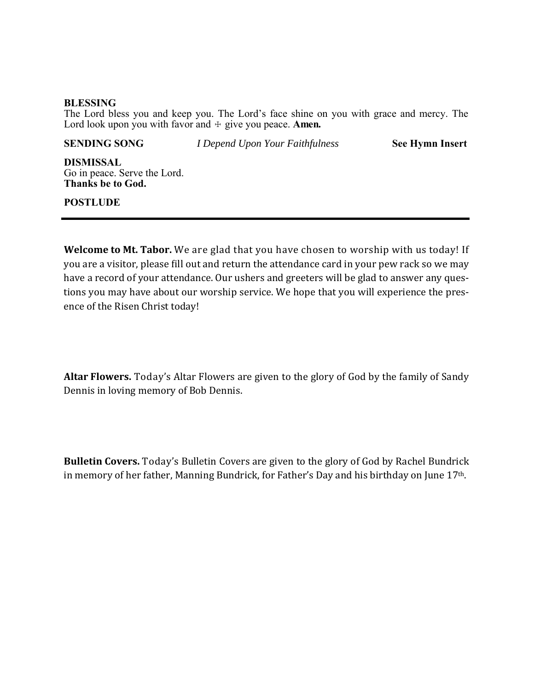### **BLESSING**

The Lord bless you and keep you. The Lord's face shine on you with grace and mercy. The Lord look upon you with favor and  $\pm$  give you peace. **Amen.** 

**SENDING SONG** *I Depend Upon Your Faithfulness* **See Hymn Insert** 

**DISMISSAL**  Go in peace. Serve the Lord. **Thanks be to God.**

### **POSTLUDE**

**Welcome to Mt. Tabor.** We are glad that you have chosen to worship with us today! If you are a visitor, please fill out and return the attendance card in your pew rack so we may have a record of your attendance. Our ushers and greeters will be glad to answer any questions you may have about our worship service. We hope that you will experience the presence of the Risen Christ today!

**Altar Flowers.** Today's Altar Flowers are given to the glory of God by the family of Sandy Dennis in loving memory of Bob Dennis.

**Bulletin Covers.** Today's Bulletin Covers are given to the glory of God by Rachel Bundrick in memory of her father, Manning Bundrick, for Father's Day and his birthday on June 17th.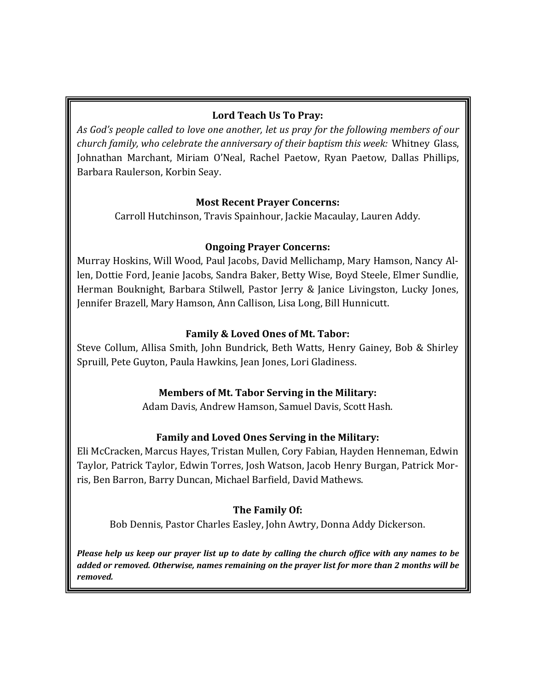## **Lord Teach Us To Pray:**

*As God's people called to love one another, let us pray for the following members of our church family, who celebrate the anniversary of their baptism this week:* Whitney Glass, Johnathan Marchant, Miriam O'Neal, Rachel Paetow, Ryan Paetow, Dallas Phillips, Barbara Raulerson, Korbin Seay.

## **Most Recent Prayer Concerns:**

Carroll Hutchinson, Travis Spainhour, Jackie Macaulay, Lauren Addy.

## **Ongoing Prayer Concerns:**

Murray Hoskins, Will Wood, Paul Jacobs, David Mellichamp, Mary Hamson, Nancy Allen, Dottie Ford, Jeanie Jacobs, Sandra Baker, Betty Wise, Boyd Steele, Elmer Sundlie, Herman Bouknight, Barbara Stilwell, Pastor Jerry & Janice Livingston, Lucky Jones, Jennifer Brazell, Mary Hamson, Ann Callison, Lisa Long, Bill Hunnicutt.

## **Family & Loved Ones of Mt. Tabor:**

Steve Collum, Allisa Smith, John Bundrick, Beth Watts, Henry Gainey, Bob & Shirley Spruill, Pete Guyton, Paula Hawkins, Jean Jones, Lori Gladiness.

## **Members of Mt. Tabor Serving in the Military:**

Adam Davis, Andrew Hamson, Samuel Davis, Scott Hash.

## **Family and Loved Ones Serving in the Military:**

Eli McCracken, Marcus Hayes, Tristan Mullen, Cory Fabian, Hayden Henneman, Edwin Taylor, Patrick Taylor, Edwin Torres, Josh Watson, Jacob Henry Burgan, Patrick Morris, Ben Barron, Barry Duncan, Michael Barfield, David Mathews.

## **The Family Of:**

Bob Dennis, Pastor Charles Easley, John Awtry, Donna Addy Dickerson.

Please help us keep our prayer list up to date by calling the church office with any names to be *added or removed. Otherwise, names remaining on the prayer list for more than 2 months will be removed.*